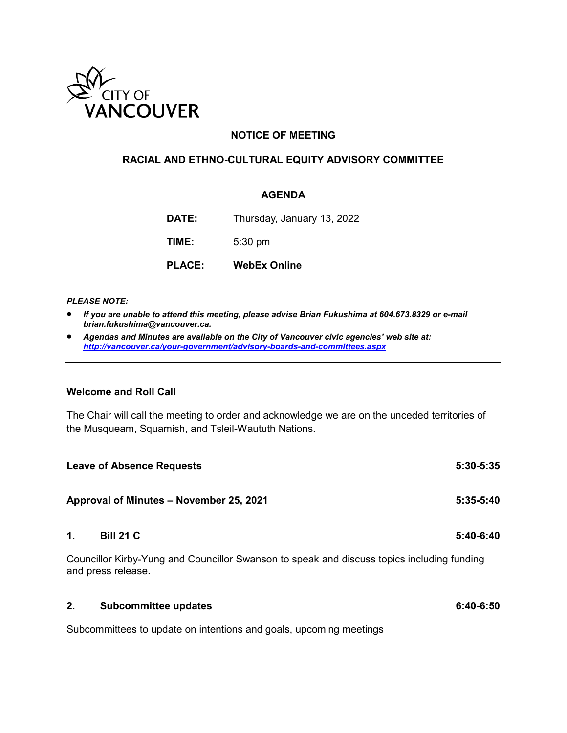

### **NOTICE OF MEETING**

### **RACIAL AND ETHNO-CULTURAL EQUITY ADVISORY COMMITTEE**

### **AGENDA**

**DATE:** Thursday, January 13, 2022

**TIME:** 5:30 pm

**PLACE: WebEx Online**

#### *PLEASE NOTE:*

- *If you are unable to attend this meeting, please advise Brian Fukushima at 604.673.8329 or e-mail brian.fukushima@vancouver.ca.*
- *Agendas and Minutes are available on the City of Vancouver civic agencies' web site at: <http://vancouver.ca/your-government/advisory-boards-and-committees.aspx>*

### **Welcome and Roll Call**

The Chair will call the meeting to order and acknowledge we are on the unceded territories of the Musqueam, Squamish, and Tsleil-Waututh Nations.

|                | <b>Leave of Absence Requests</b>                                                                                 | $5:30-5:35$ |
|----------------|------------------------------------------------------------------------------------------------------------------|-------------|
|                | Approval of Minutes - November 25, 2021                                                                          | $5:35-5:40$ |
| $\mathbf{1}$ . | <b>Bill 21 C</b>                                                                                                 | $5:40-6:40$ |
|                | Councillor Kirby-Yung and Councillor Swanson to speak and discuss topics including funding<br>and press release. |             |
| 2.             | <b>Subcommittee updates</b>                                                                                      | $6:40-6:50$ |

Subcommittees to update on intentions and goals, upcoming meetings